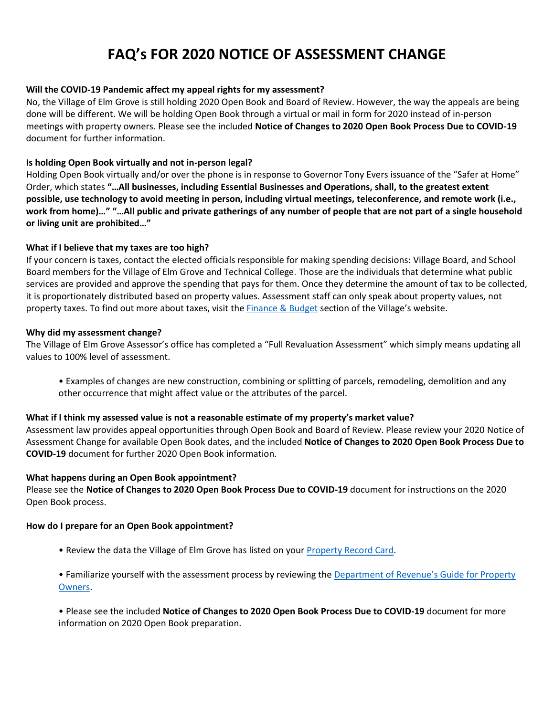# **FAQ's FOR 2020 NOTICE OF ASSESSMENT CHANGE**

# **Will the COVID-19 Pandemic affect my appeal rights for my assessment?**

No, the Village of Elm Grove is still holding 2020 Open Book and Board of Review. However, the way the appeals are being done will be different. We will be holding Open Book through a virtual or mail in form for 2020 instead of in-person meetings with property owners. Please see the included **Notice of Changes to 2020 Open Book Process Due to COVID-19**  document for further information.

# **Is holding Open Book virtually and not in-person legal?**

Holding Open Book virtually and/or over the phone is in response to Governor Tony Evers issuance of the "Safer at Home" Order, which states **"…All businesses, including Essential Businesses and Operations, shall, to the greatest extent possible, use technology to avoid meeting in person, including virtual meetings, teleconference, and remote work (i.e., work from home)…" "…All public and private gatherings of any number of people that are not part of a single household or living unit are prohibited…"** 

# **What if I believe that my taxes are too high?**

If your concern is taxes, contact the elected officials responsible for making spending decisions: Village Board, and School Board members for the Village of Elm Grove and Technical College. Those are the individuals that determine what public services are provided and approve the spending that pays for them. Once they determine the amount of tax to be collected, it is proportionately distributed based on property values. Assessment staff can only speak about property values, not property taxes. To find out more about taxes, visit the *Finance & Budget section of the Village's website*.

## **Why did my assessment change?**

The Village of Elm Grove Assessor's office has completed a "Full Revaluation Assessment" which simply means updating all values to 100% level of assessment.

• Examples of changes are new construction, combining or splitting of parcels, remodeling, demolition and any other occurrence that might affect value or the attributes of the parcel.

## **What if I think my assessed value is not a reasonable estimate of my property's market value?**

Assessment law provides appeal opportunities through Open Book and Board of Review. Please review your 2020 Notice of Assessment Change for available Open Book dates, and the included **Notice of Changes to 2020 Open Book Process Due to COVID-19** document for further 2020 Open Book information.

# **What happens during an Open Book appointment?**

Please see the **Notice of Changes to 2020 Open Book Process Due to COVID-19** document for instructions on the 2020 Open Book process.

## **How do I prepare for an Open Book appointment?**

- Review the data the Village of Elm Grove has listed on your [Property Record Card.](https://maps.ags.ruekert-mielke.com/Html5Viewer/Index.html?viewer=elmgrove)
- Familiarize yourself with the assessment process by reviewing the [Department of Revenue's Guide for Property](https://www.revenue.wi.gov/DOR%20Publications/pb060.pdf)  [Owners.](https://www.revenue.wi.gov/DOR%20Publications/pb060.pdf)

• Please see the included **Notice of Changes to 2020 Open Book Process Due to COVID-19** document for more information on 2020 Open Book preparation.